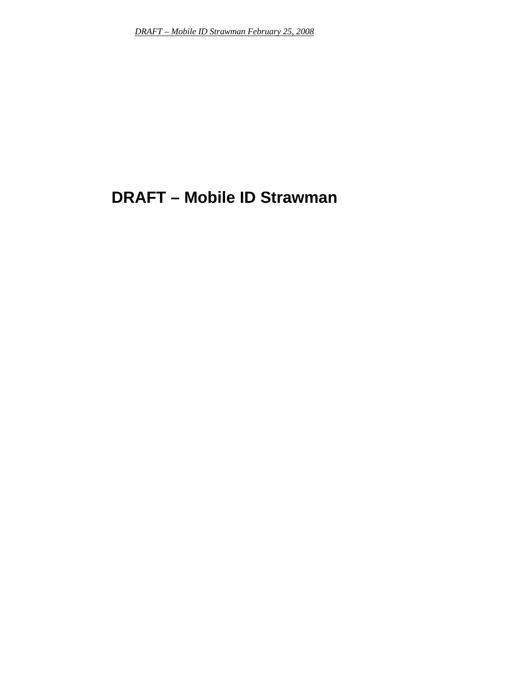# **DRAFT – Mobile ID Strawman**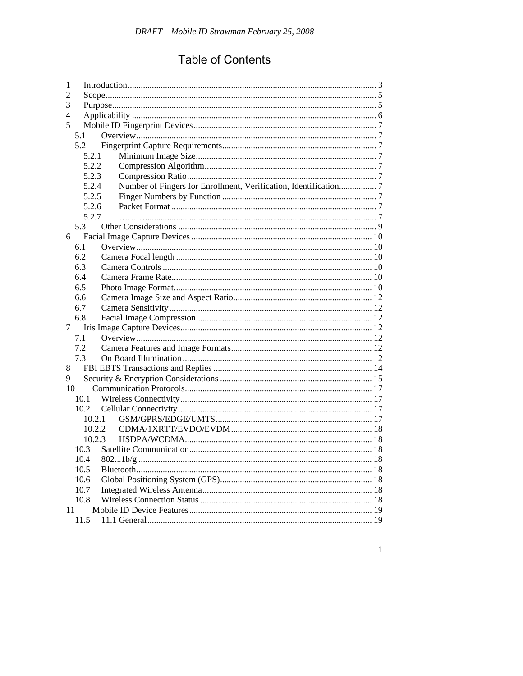## **Table of Contents**

| 1  |        |                                                                  |  |  |  |
|----|--------|------------------------------------------------------------------|--|--|--|
| 2  |        |                                                                  |  |  |  |
| 3  |        |                                                                  |  |  |  |
| 4  |        |                                                                  |  |  |  |
| 5  |        |                                                                  |  |  |  |
|    | 5.1    |                                                                  |  |  |  |
|    | 5.2    |                                                                  |  |  |  |
|    | 5.2.1  |                                                                  |  |  |  |
|    | 5.2.2  |                                                                  |  |  |  |
|    | 5.2.3  |                                                                  |  |  |  |
|    | 5.2.4  | Number of Fingers for Enrollment, Verification, Identification 7 |  |  |  |
|    | 5.2.5  |                                                                  |  |  |  |
|    | 5.2.6  |                                                                  |  |  |  |
|    | 5.2.7  |                                                                  |  |  |  |
|    | 5.3    |                                                                  |  |  |  |
| 6  |        |                                                                  |  |  |  |
|    | 6.1    |                                                                  |  |  |  |
|    | 6.2    |                                                                  |  |  |  |
|    | 6.3    |                                                                  |  |  |  |
|    | 6.4    |                                                                  |  |  |  |
|    | 6.5    |                                                                  |  |  |  |
|    | 6.6    |                                                                  |  |  |  |
|    | 6.7    |                                                                  |  |  |  |
|    | 6.8    |                                                                  |  |  |  |
| 7  |        |                                                                  |  |  |  |
|    | 7.1    |                                                                  |  |  |  |
|    | 7.2    |                                                                  |  |  |  |
|    | 7.3    |                                                                  |  |  |  |
| 8  |        |                                                                  |  |  |  |
| 9  |        |                                                                  |  |  |  |
| 10 |        |                                                                  |  |  |  |
|    | 10.1   |                                                                  |  |  |  |
|    | 10.2   |                                                                  |  |  |  |
|    | 10.2.1 |                                                                  |  |  |  |
|    | 10.2.2 |                                                                  |  |  |  |
|    | 10.2.3 |                                                                  |  |  |  |
|    | 10.3   |                                                                  |  |  |  |
|    | 10.4   |                                                                  |  |  |  |
|    | 10.5   |                                                                  |  |  |  |
|    | 10.6   |                                                                  |  |  |  |
|    | 10.7   |                                                                  |  |  |  |
|    | 10.8   |                                                                  |  |  |  |
| 11 |        |                                                                  |  |  |  |
|    | 11.5   |                                                                  |  |  |  |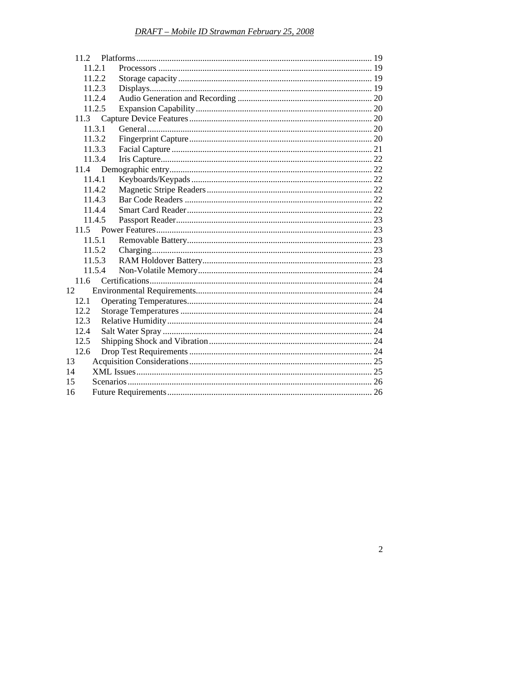|          | 11.2.1 |  |
|----------|--------|--|
|          | 11.2.2 |  |
|          | 11.2.3 |  |
|          | 11.2.4 |  |
|          | 11.2.5 |  |
| 11.3     |        |  |
|          | 11.3.1 |  |
|          | 11.3.2 |  |
|          | 11.3.3 |  |
|          | 11.3.4 |  |
| 11.4     |        |  |
|          | 11.4.1 |  |
|          | 11.4.2 |  |
|          | 11.4.3 |  |
|          | 11.4.4 |  |
|          | 11.4.5 |  |
| $11.5 -$ |        |  |
|          | 11.5.1 |  |
|          | 11.5.2 |  |
|          | 11.5.3 |  |
|          | 11.5.4 |  |
| 11.6     |        |  |
| 12       |        |  |
| 12.1     |        |  |
| 12.2     |        |  |
| 12.3     |        |  |
| 12.4     |        |  |
| 12.5     |        |  |
| 12.6     |        |  |
| 13       |        |  |
| 14       |        |  |
| 15       |        |  |
| 16       |        |  |
|          |        |  |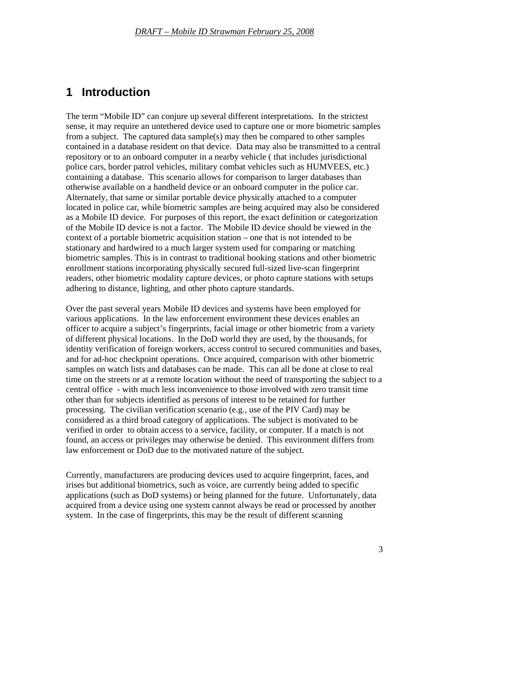#### <span id="page-3-0"></span>**1 Introduction**

The term "Mobile ID" can conjure up several different interpretations. In the strictest sense, it may require an untethered device used to capture one or more biometric samples from a subject. The captured data sample(s) may then be compared to other samples contained in a database resident on that device. Data may also be transmitted to a central repository or to an onboard computer in a nearby vehicle ( that includes jurisdictional police cars, border patrol vehicles, military combat vehicles such as HUMVEES, etc.) containing a database. This scenario allows for comparison to larger databases than otherwise available on a handheld device or an onboard computer in the police car. Alternately, that same or similar portable device physically attached to a computer located in police car, while biometric samples are being acquired may also be considered as a Mobile ID device. For purposes of this report, the exact definition or categorization of the Mobile ID device is not a factor. The Mobile ID device should be viewed in the context of a portable biometric acquisition station – one that is not intended to be stationary and hardwired to a much larger system used for comparing or matching biometric samples. This is in contrast to traditional booking stations and other biometric enrollment stations incorporating physically secured full-sized live-scan fingerprint readers, other biometric modality capture devices, or photo capture stations with setups adhering to distance, lighting, and other photo capture standards.

Over the past several years Mobile ID devices and systems have been employed for various applications. In the law enforcement environment these devices enables an officer to acquire a subject's fingerprints, facial image or other biometric from a variety of different physical locations. In the DoD world they are used, by the thousands, for identity verification of foreign workers, access control to secured communities and bases, and for ad-hoc checkpoint operations. Once acquired, comparison with other biometric samples on watch lists and databases can be made. This can all be done at close to real time on the streets or at a remote location without the need of transporting the subject to a central office - with much less inconvenience to those involved with zero transit time other than for subjects identified as persons of interest to be retained for further processing. The civilian verification scenario (e.g., use of the PIV Card) may be considered as a third broad category of applications. The subject is motivated to be verified in order to obtain access to a service, facility, or computer. If a match is not found, an access or privileges may otherwise be denied. This environment differs from law enforcement or DoD due to the motivated nature of the subject.

Currently, manufacturers are producing devices used to acquire fingerprint, faces, and irises but additional biometrics, such as voice, are currently being added to specific applications (such as DoD systems) or being planned for the future. Unfortunately, data acquired from a device using one system cannot always be read or processed by another system. In the case of fingerprints, this may be the result of different scanning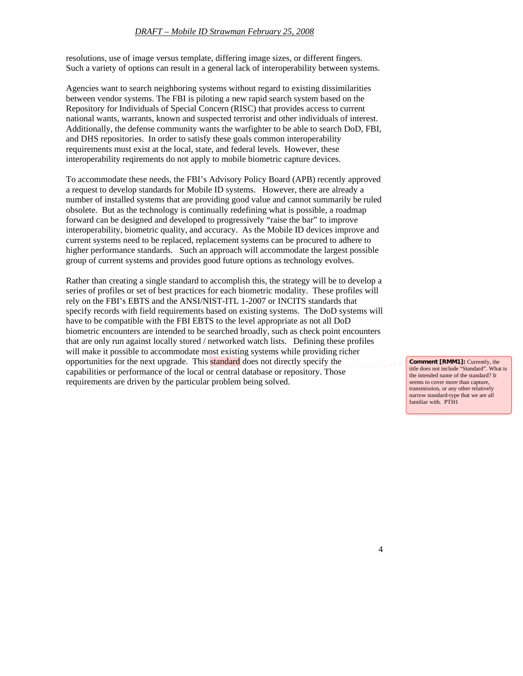resolutions, use of image versus template, differing image sizes, or different fingers. Such a variety of options can result in a general lack of interoperability between systems.

Agencies want to search neighboring systems without regard to existing dissimilarities between vendor systems. The FBI is piloting a new rapid search system based on the Repository for Individuals of Special Concern (RISC) that provides access to current national wants, warrants, known and suspected terrorist and other individuals of interest. Additionally, the defense community wants the warfighter to be able to search DoD, FBI, and DHS repositories. In order to satisfy these goals common interoperability requirements must exist at the local, state, and federal levels. However, these interoperability reqirements do not apply to mobile biometric capture devices.

To accommodate these needs, the FBI's Advisory Policy Board (APB) recently approved a request to develop standards for Mobile ID systems. However, there are already a number of installed systems that are providing good value and cannot summarily be ruled obsolete. But as the technology is continually redefining what is possible, a roadmap forward can be designed and developed to progressively "raise the bar" to improve interoperability, biometric quality, and accuracy. As the Mobile ID devices improve and current systems need to be replaced, replacement systems can be procured to adhere to higher performance standards. Such an approach will accommodate the largest possible group of current systems and provides good future options as technology evolves.

Rather than creating a single standard to accomplish this, the strategy will be to develop a series of profiles or set of best practices for each biometric modality. These profiles will rely on the FBI's EBTS and the ANSI/NIST-ITL 1-2007 or INCITS standards that specify records with field requirements based on existing systems. The DoD systems will have to be compatible with the FBI EBTS to the level appropriate as not all DoD biometric encounters are intended to be searched broadly, such as check point encounters that are only run against locally stored / networked watch lists. Defining these profiles will make it possible to accommodate most existing systems while providing richer opportunities for the next upgrade. This standard does not directly specify the capabilities or performance of the local or central database or repository. Those requirements are driven by the particular problem being solved.

**Comment [RMM1]:** Currently, the title does not include "Standard". What is the intended name of the standard? It seems to cover more than capture, transmission, or any other relatively narrow standard-type that we are all familiar with. PTH1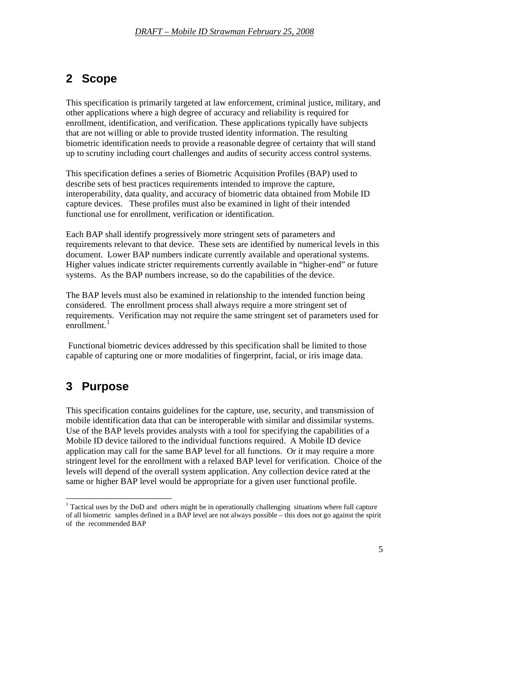## <span id="page-5-0"></span>**2 Scope**

This specification is primarily targeted at law enforcement, criminal justice, military, and other applications where a high degree of accuracy and reliability is required for enrollment, identification, and verification. These applications typically have subjects that are not willing or able to provide trusted identity information. The resulting biometric identification needs to provide a reasonable degree of certainty that will stand up to scrutiny including court challenges and audits of security access control systems.

This specification defines a series of Biometric Acquisition Profiles (BAP) used to describe sets of best practices requirements intended to improve the capture, interoperability, data quality, and accuracy of biometric data obtained from Mobile ID capture devices. These profiles must also be examined in light of their intended functional use for enrollment, verification or identification.

Each BAP shall identify progressively more stringent sets of parameters and requirements relevant to that device. These sets are identified by numerical levels in this document. Lower BAP numbers indicate currently available and operational systems. Higher values indicate stricter requirements currently available in "higher-end" or future systems. As the BAP numbers increase, so do the capabilities of the device.

The BAP levels must also be examined in relationship to the intended function being considered. The enrollment process shall always require a more stringent set of requirements. Verification may not require the same stringent set of parameters used for enrollment.<sup>[1](#page-5-0)</sup>

 Functional biometric devices addressed by this specification shall be limited to those capable of capturing one or more modalities of fingerprint, facial, or iris image data.

## **3 Purpose**

This specification contains guidelines for the capture, use, security, and transmission of mobile identification data that can be interoperable with similar and dissimilar systems. Use of the BAP levels provides analysts with a tool for specifying the capabilities of a Mobile ID device tailored to the individual functions required. A Mobile ID device application may call for the same BAP level for all functions. Or it may require a more stringent level for the enrollment with a relaxed BAP level for verification. Choice of the levels will depend of the overall system application. Any collection device rated at the same or higher BAP level would be appropriate for a given user functional profile.

<sup>&</sup>lt;sup>1</sup> Tactical uses by the DoD and others might be in operationally challenging situations where full capture of all biometric samples defined in a BAP level are not always possible – this does not go against the spirit of the recommended BAP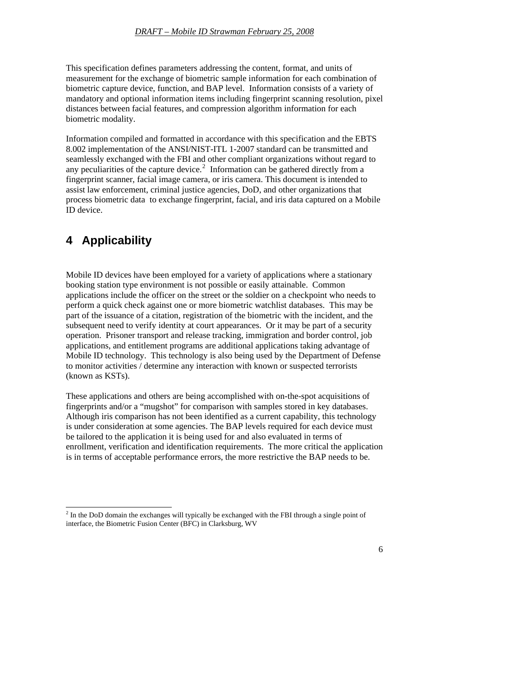<span id="page-6-0"></span>This specification defines parameters addressing the content, format, and units of measurement for the exchange of biometric sample information for each combination of biometric capture device, function, and BAP level. Information consists of a variety of mandatory and optional information items including fingerprint scanning resolution, pixel distances between facial features, and compression algorithm information for each biometric modality.

Information compiled and formatted in accordance with this specification and the EBTS 8.002 implementation of the ANSI/NIST-ITL 1-2007 standard can be transmitted and seamlessly exchanged with the FBI and other compliant organizations without regard to any peculiarities of the capture device.<sup>[2](#page-6-0)</sup> Information can be gathered directly from a fingerprint scanner, facial image camera, or iris camera. This document is intended to assist law enforcement, criminal justice agencies, DoD, and other organizations that process biometric data to exchange fingerprint, facial, and iris data captured on a Mobile ID device.

## **4 Applicability**

 $\overline{a}$ 

Mobile ID devices have been employed for a variety of applications where a stationary booking station type environment is not possible or easily attainable. Common applications include the officer on the street or the soldier on a checkpoint who needs to perform a quick check against one or more biometric watchlist databases. This may be part of the issuance of a citation, registration of the biometric with the incident, and the subsequent need to verify identity at court appearances. Or it may be part of a security operation. Prisoner transport and release tracking, immigration and border control, job applications, and entitlement programs are additional applications taking advantage of Mobile ID technology. This technology is also being used by the Department of Defense to monitor activities / determine any interaction with known or suspected terrorists (known as KSTs).

These applications and others are being accomplished with on-the-spot acquisitions of fingerprints and/or a "mugshot" for comparison with samples stored in key databases. Although iris comparison has not been identified as a current capability, this technology is under consideration at some agencies. The BAP levels required for each device must be tailored to the application it is being used for and also evaluated in terms of enrollment, verification and identification requirements. The more critical the application is in terms of acceptable performance errors, the more restrictive the BAP needs to be.

 $2<sup>2</sup>$  In the DoD domain the exchanges will typically be exchanged with the FBI through a single point of interface, the Biometric Fusion Center (BFC) in Clarksburg, WV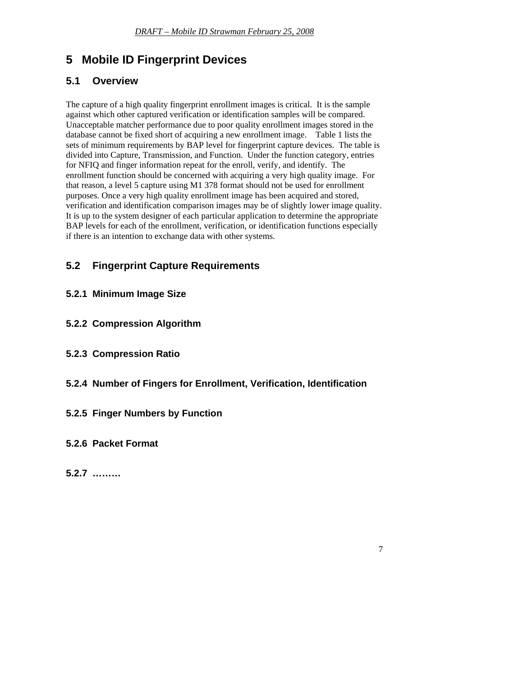## <span id="page-7-0"></span>**5 Mobile ID Fingerprint Devices**

### **5.1 Overview**

The capture of a high quality fingerprint enrollment images is critical. It is the sample against which other captured verification or identification samples will be compared. Unacceptable matcher performance due to poor quality enrollment images stored in the database cannot be fixed short of acquiring a new enrollment image. Table 1 lists the sets of minimum requirements by BAP level for fingerprint capture devices. The table is divided into Capture, Transmission, and Function. Under the function category, entries for NFIQ and finger information repeat for the enroll, verify, and identify. The enrollment function should be concerned with acquiring a very high quality image. For that reason, a level 5 capture using M1 378 format should not be used for enrollment purposes. Once a very high quality enrollment image has been acquired and stored, verification and identification comparison images may be of slightly lower image quality. It is up to the system designer of each particular application to determine the appropriate BAP levels for each of the enrollment, verification, or identification functions especially if there is an intention to exchange data with other systems.

## **5.2 Fingerprint Capture Requirements**

- **5.2.1 Minimum Image Size**
- **5.2.2 Compression Algorithm**
- **5.2.3 Compression Ratio**
- **5.2.4 Number of Fingers for Enrollment, Verification, Identification**
- **5.2.5 Finger Numbers by Function**
- **5.2.6 Packet Format**

**5.2.7 ………**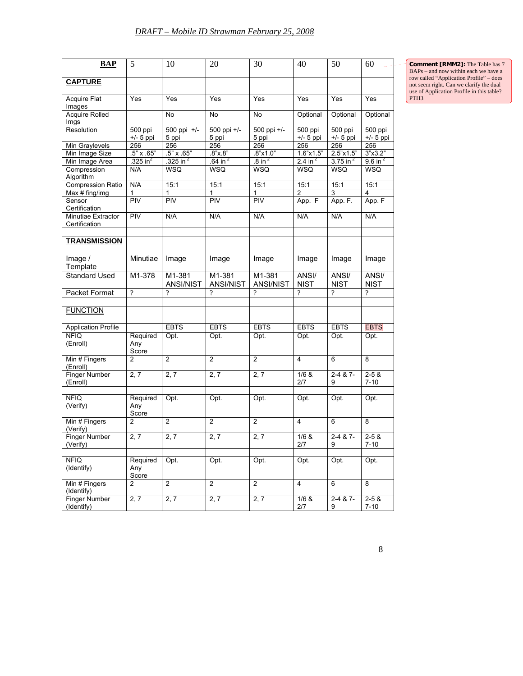**Comment [RMM2]:** The Table has 7 BAPs – and now within each we have a row called "Application Profile" – does not seem right. Can we clarify the dual use of Application Profile in this table? PTH3

| <b>BAP</b>                                           | 5                        | 10                         | 20                                    | 30                         | 40                        | 50                                   | 60                           |
|------------------------------------------------------|--------------------------|----------------------------|---------------------------------------|----------------------------|---------------------------|--------------------------------------|------------------------------|
| <b>CAPTURE</b>                                       |                          |                            |                                       |                            |                           |                                      |                              |
| <b>Acquire Flat</b><br>Images                        | Yes                      | Yes                        | Yes                                   | Yes                        | Yes                       | Yes                                  | Yes                          |
| Acquire Rolled<br>Imgs                               |                          | No                         | No                                    | No                         | Optional                  | Optional                             | Optional                     |
| Resolution                                           | $500$ ppi<br>$+/-$ 5 ppi | 500 ppi +/-<br>5 ppi       | 500 ppi +/-<br>5 ppi                  | 500 ppi +/-<br>5 ppi       | 500 ppi<br>$+/-$ 5 ppi    | 500 ppi<br>$+/-$ 5 ppi               | 500 ppi<br>$+/-$ 5 ppi       |
| Min Graylevels<br>Min Image Size                     | 256<br>.5" x .65"        | 256<br>$.5" \times .65"$   | 256<br>.8"x.8"                        | 256<br>.8"x1.0"            | 256<br>1.6"x1.5"          | 256<br>2.5"x1.5"                     | 256<br>3"x3.2"               |
| Min Image Area<br>Compression                        | .325 in $^2$<br>N/A      | .325 in $^2$<br>WSQ        | $\frac{64}{10}$ in $^2$<br><b>WSQ</b> | $.8$ in $^2$<br>WSQ        | 2.4 in $^2$<br><b>WSQ</b> | $3.75$ in <sup>2</sup><br><b>WSQ</b> | $9.6$ in <sup>2</sup><br>WSQ |
| Algorithm<br><b>Compression Ratio</b>                | N/A                      | 15:1                       | 15:1                                  | 15:1                       | 15:1                      | 15:1                                 | 15:1                         |
| Max # fing/img<br>Sensor                             | 1<br>PIV                 | 1<br>PIV                   | 1<br>PIV                              | 1<br>PIV                   | $\overline{2}$<br>App. F  | 3<br>App. F.                         | 4<br>App. F                  |
| Certification<br>Minutiae Extractor<br>Certification | PIV                      | N/A                        | N/A                                   | N/A                        | N/A                       | N/A                                  | N/A                          |
| <b>TRANSMISSION</b>                                  |                          |                            |                                       |                            |                           |                                      |                              |
| Image /<br>Template                                  | Minutiae                 | Image                      | Image                                 | Image                      | Image                     | Image                                | Image                        |
| <b>Standard Used</b>                                 | M1-378                   | M1-381<br><b>ANSI/NIST</b> | M1-381<br><b>ANSI/NIST</b>            | M1-381<br><b>ANSI/NIST</b> | ANSI/<br><b>NIST</b>      | ANSI/<br><b>NIST</b>                 | ANSI/<br><b>NIST</b>         |
| Packet Format                                        | $\overline{?}$           | $\overline{?}$             | $\overline{?}$                        | ?                          | $\gamma$                  | $\gamma$                             | $\gamma$                     |
| <b>FUNCTION</b>                                      |                          |                            |                                       |                            |                           |                                      |                              |
| <b>Application Profile</b><br><b>NFIQ</b>            | Required                 | <b>EBTS</b><br>Opt.        | <b>EBTS</b><br>Opt.                   | <b>EBTS</b><br>Opt.        | <b>EBTS</b><br>Opt.       | <b>EBTS</b><br>Opt.                  | <b>EBTS</b><br>Opt.          |
| (Enroll)                                             | Any<br>Score             |                            |                                       |                            |                           |                                      |                              |
| Min # Fingers<br>(Enroll)                            | $\overline{2}$           | $\overline{2}$             | $\overline{2}$                        | 2                          | $\overline{4}$            | 6                                    | 8                            |
| Finger Number<br>(Enroll)                            | 2, 7                     | 2, 7                       | 2, 7                                  | 2, 7                       | 1/6 &<br>2/7              | $2-487$<br>9                         | $2 - 58$<br>$7 - 10$         |
| <b>NFIQ</b><br>(Verify)                              | Required<br>Any<br>Score | Opt.                       | Opt.                                  | Opt.                       | Opt.                      | Opt.                                 | Opt.                         |
| Min # Fingers<br>(Verify)                            | $\overline{2}$           | $\overline{2}$             | $\overline{2}$                        | $\overline{2}$             | $\overline{4}$            | 6                                    | 8                            |
| Finger Number<br>verity)                             | 2, 7                     | 2, 7                       | 2, 7                                  | 2, 7                       | $1/6$ &<br>2/7            | $2 - 4 & 8 - 7$<br>y                 | $2 - 58$<br>7-10             |
| <b>NFIQ</b><br>(Identify)                            | Required<br>Any<br>Score | Opt.                       | Opt.                                  | Opt.                       | Opt.                      | Opt.                                 | Opt.                         |
| Min # Fingers<br>(Identify)                          | $\overline{2}$           | $\overline{2}$             | $\overline{2}$                        | $\overline{2}$             | $\overline{4}$            | 6                                    | 8                            |
| Finger Number<br>(Identify)                          | 2, 7                     | 2, 7                       | 2, 7                                  | 2, 7                       | 1/6 &<br>2/7              | 2-4 & 7-<br>9                        | $2 - 5 &$<br>$7 - 10$        |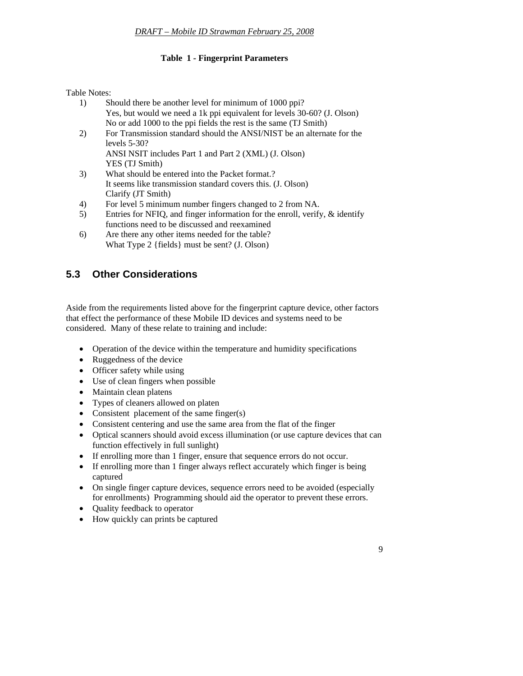#### **Table 1 - Fingerprint Parameters**

<span id="page-9-0"></span>Table Notes:

- 1) Should there be another level for minimum of 1000 ppi? Yes, but would we need a 1k ppi equivalent for levels 30-60? (J. Olson) No or add 1000 to the ppi fields the rest is the same (TJ Smith)
- 2) For Transmission standard should the ANSI/NIST be an alternate for the levels 5-30? ANSI NSIT includes Part 1 and Part 2 (XML) (J. Olson)
	- YES (TJ Smith)
- 3) What should be entered into the Packet format.? It seems like transmission standard covers this. (J. Olson) Clarify (JT Smith)
- 4) For level 5 minimum number fingers changed to 2 from NA.
- 5) Entries for NFIQ, and finger information for the enroll, verify, & identify functions need to be discussed and reexamined
- 6) Are there any other items needed for the table? What Type 2 {fields} must be sent? (J. Olson)

## **5.3 Other Considerations**

Aside from the requirements listed above for the fingerprint capture device, other factors that effect the performance of these Mobile ID devices and systems need to be considered. Many of these relate to training and include:

- Operation of the device within the temperature and humidity specifications
- Ruggedness of the device
- Officer safety while using
- Use of clean fingers when possible
- Maintain clean platens
- Types of cleaners allowed on platen
- Consistent placement of the same finger(s)
- Consistent centering and use the same area from the flat of the finger
- Optical scanners should avoid excess illumination (or use capture devices that can function effectively in full sunlight)
- If enrolling more than 1 finger, ensure that sequence errors do not occur.
- If enrolling more than 1 finger always reflect accurately which finger is being captured
- On single finger capture devices, sequence errors need to be avoided (especially for enrollments) Programming should aid the operator to prevent these errors.
- Quality feedback to operator
- How quickly can prints be captured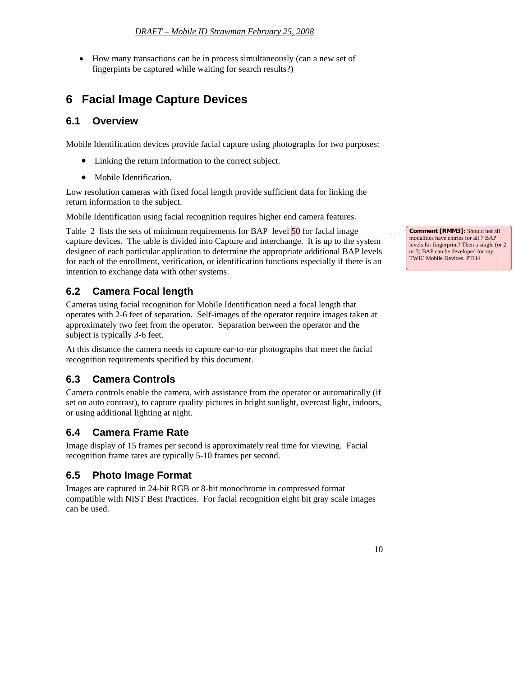<span id="page-10-0"></span>• How many transactions can be in process simultaneously (can a new set of fingerpints be captured while waiting for search results?)

## **6 Facial Image Capture Devices**

#### **6.1 Overview**

Mobile Identification devices provide facial capture using photographs for two purposes:

- Linking the return information to the correct subject.
- Mobile Identification.

Low resolution cameras with fixed focal length provide sufficient data for linking the return information to the subject.

Mobile Identification using facial recognition requires higher end camera features.

Table 2 lists the sets of minimum requirements for BAP level 50 for facial image capture devices. The table is divided into Capture and interchange. It is up to the system designer of each particular application to determine the appropriate additional BAP levels for each of the enrollment, verification, or identification functions especially if there is an intention to exchange data with other systems.

#### **6.2 Camera Focal length**

Cameras using facial recognition for Mobile Identification need a focal length that operates with 2-6 feet of separation. Self-images of the operator require images taken at approximately two feet from the operator. Separation between the operator and the subject is typically 3-6 feet.

At this distance the camera needs to capture ear-to-ear photographs that meet the facial recognition requirements specified by this document.

#### **6.3 Camera Controls**

Camera controls enable the camera, with assistance from the operator or automatically (if set on auto contrast), to capture quality pictures in bright sunlight, overcast light, indoors, or using additional lighting at night.

#### **6.4 Camera Frame Rate**

Image display of 15 frames per second is approximately real time for viewing. Facial recognition frame rates are typically 5-10 frames per second.

#### **6.5 Photo Image Format**

Images are captured in 24-bit RGB or 8-bit monochrome in compressed format compatible with NIST Best Practices. For facial recognition eight bit gray scale images can be used.

**Comment [RMM3]:** Should not all modalities have entries for all 7 BAP levels for fingerprint? Then a single (or 2 or 3) BAP can be developed for say, TWIC Mobile Devices. PTH4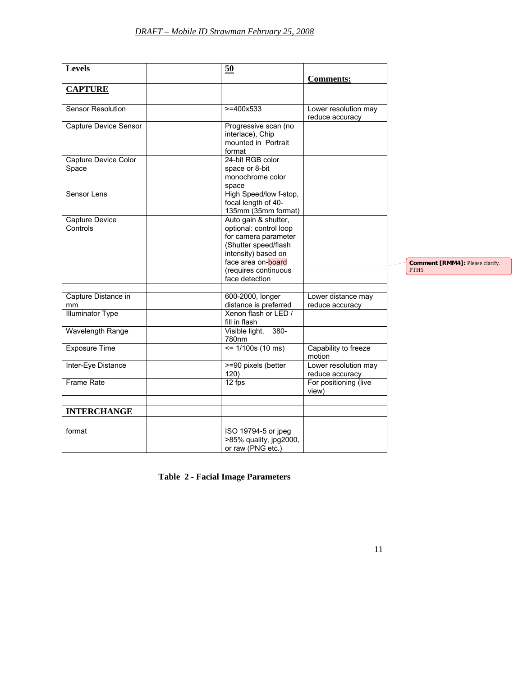| <b>Levels</b>            | 50                                            |                       |                                                     |
|--------------------------|-----------------------------------------------|-----------------------|-----------------------------------------------------|
|                          |                                               | <b>Comments:</b>      |                                                     |
| <b>CAPTURE</b>           |                                               |                       |                                                     |
|                          |                                               |                       |                                                     |
| <b>Sensor Resolution</b> | $>= 400x533$                                  | Lower resolution may  |                                                     |
|                          |                                               | reduce accuracy       |                                                     |
| Capture Device Sensor    | Progressive scan (no<br>interlace), Chip      |                       |                                                     |
|                          | mounted in Portrait                           |                       |                                                     |
|                          | format                                        |                       |                                                     |
| Capture Device Color     | 24-bit RGB color                              |                       |                                                     |
| Space                    | space or 8-bit                                |                       |                                                     |
|                          | monochrome color                              |                       |                                                     |
|                          | space                                         |                       |                                                     |
| Sensor Lens              | High Speed/Iow f-stop,<br>focal length of 40- |                       |                                                     |
|                          | 135mm (35mm format)                           |                       |                                                     |
| Capture Device           | Auto gain & shutter,                          |                       |                                                     |
| Controls                 | optional: control loop                        |                       |                                                     |
|                          | for camera parameter                          |                       |                                                     |
|                          | (Shutter speed/flash                          |                       |                                                     |
|                          | intensity) based on                           |                       |                                                     |
|                          | face area on-board                            |                       | Comment [RMM4]: Please clarify.<br>PTH <sub>5</sub> |
|                          | (requires continuous<br>face detection        |                       |                                                     |
|                          |                                               |                       |                                                     |
| Capture Distance in      | 600-2000, longer                              | Lower distance may    |                                                     |
| mm                       | distance is preferred                         | reduce accuracy       |                                                     |
| <b>Illuminator Type</b>  | Xenon flash or LED /                          |                       |                                                     |
|                          | fill in flash                                 |                       |                                                     |
| Wavelength Range         | $380 -$<br>Visible light,<br>780nm            |                       |                                                     |
| <b>Exposure Time</b>     | $\le$ 1/100s (10 ms)                          | Capability to freeze  |                                                     |
|                          |                                               | motion                |                                                     |
| Inter-Eye Distance       | >=90 pixels (better                           | Lower resolution may  |                                                     |
|                          | 120)                                          | reduce accuracy       |                                                     |
| Frame Rate               | 12 fps                                        | For positioning (live |                                                     |
|                          |                                               | view)                 |                                                     |
| <b>INTERCHANGE</b>       |                                               |                       |                                                     |
|                          |                                               |                       |                                                     |
| format                   | ISO 19794-5 or jpeg                           |                       |                                                     |
|                          | >85% quality, jpg2000,                        |                       |                                                     |
|                          | or raw (PNG etc.)                             |                       |                                                     |

**Table 2 - Facial Image Parameters**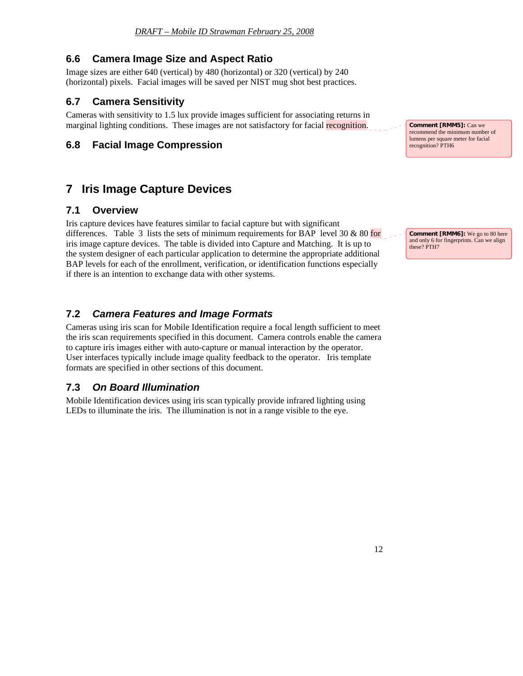#### <span id="page-12-0"></span>**6.6 Camera Image Size and Aspect Ratio**

Image sizes are either 640 (vertical) by 480 (horizontal) or 320 (vertical) by 240 (horizontal) pixels. Facial images will be saved per NIST mug shot best practices.

#### **6.7 Camera Sensitivity**

Cameras with sensitivity to 1.5 lux provide images sufficient for associating returns in marginal lighting conditions. These images are not satisfactory for facial recognition.

#### **6.8 Facial Image Compression**

## **7 Iris Image Capture Devices**

#### **7.1 Overview**

Iris capture devices have features similar to facial capture but with significant differences. Table 3 lists the sets of minimum requirements for BAP level 30  $\&$  80 for iris image capture devices. The table is divided into Capture and Matching. It is up to the system designer of each particular application to determine the appropriate additional BAP levels for each of the enrollment, verification, or identification functions especially if there is an intention to exchange data with other systems.

#### **7.2** *Camera Features and Image Formats*

Cameras using iris scan for Mobile Identification require a focal length sufficient to meet the iris scan requirements specified in this document. Camera controls enable the camera to capture iris images either with auto-capture or manual interaction by the operator. User interfaces typically include image quality feedback to the operator. Iris template formats are specified in other sections of this document.

#### **7.3** *On Board Illumination*

Mobile Identification devices using iris scan typically provide infrared lighting using LEDs to illuminate the iris. The illumination is not in a range visible to the eye.

**Comment [RMM5]:** Can we recommend the minimum number of lumens per square meter for facial recognition? PTH6

**Comment [RMM6]:** We go to 80 here and only 6 for fingerprints. Can we align these? PTH7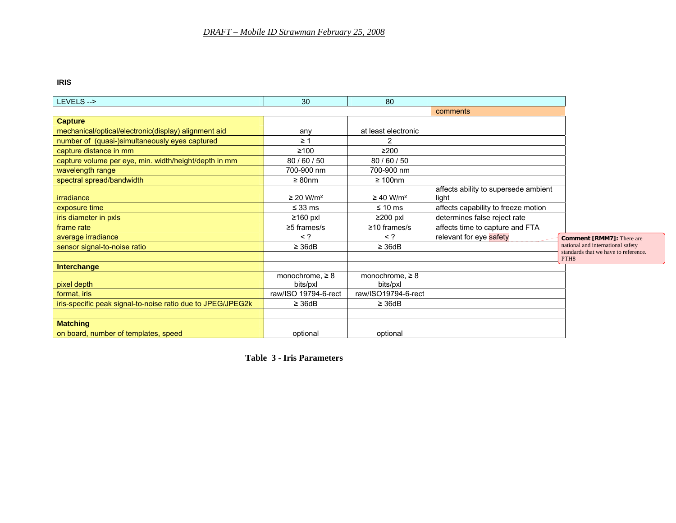#### **IRIS**

| LEVELS -->                                                  | 30                         | 80                         |                                               |                                                                           |
|-------------------------------------------------------------|----------------------------|----------------------------|-----------------------------------------------|---------------------------------------------------------------------------|
|                                                             |                            |                            | comments                                      |                                                                           |
| <b>Capture</b>                                              |                            |                            |                                               |                                                                           |
| mechanical/optical/electronic(display) alignment aid        | any                        | at least electronic        |                                               |                                                                           |
| number of (quasi-)simultaneously eyes captured              | $\geq$ 1                   |                            |                                               |                                                                           |
| capture distance in mm                                      | $≥100$                     | $\geq$ 200                 |                                               |                                                                           |
| capture volume per eye, min. width/height/depth in mm       | 80/60/50                   | 80/60/50                   |                                               |                                                                           |
| wavelength range                                            | 700-900 nm                 | 700-900 nm                 |                                               |                                                                           |
| spectral spread/bandwidth                                   | $\geq 80$ nm               | $\geq 100$ nm              |                                               |                                                                           |
| irradiance                                                  | $\geq$ 20 W/m <sup>2</sup> | $\geq$ 40 W/m <sup>2</sup> | affects ability to supersede ambient<br>liaht |                                                                           |
| exposure time                                               | $\leq$ 33 ms               | $\leq 10$ ms               | affects capability to freeze motion           |                                                                           |
| iris diameter in pxls                                       | $\geq 160$ pxl             | $\geq$ 200 pxl             | determines false reject rate                  |                                                                           |
| frame rate                                                  | $\geq$ 5 frames/s          | $\geq$ 10 frames/s         | affects time to capture and FTA               |                                                                           |
| average irradiance                                          | $\langle$ ?                | $\leq$ ?                   | relevant for eye safety                       | <b>Comment [RMM7]:</b> There are                                          |
| sensor signal-to-noise ratio                                | $\geq$ 36dB                | $\geq 36dB$                |                                               | national and international safety<br>standards that we have to reference. |
|                                                             |                            |                            |                                               | PTH <sub>8</sub>                                                          |
| Interchange                                                 |                            |                            |                                               |                                                                           |
|                                                             | monochrome, $\geq 8$       | monochrome, $\geq 8$       |                                               |                                                                           |
| pixel depth                                                 | bits/pxl                   | bits/pxl                   |                                               |                                                                           |
| format, iris                                                | raw/ISO 19794-6-rect       | raw/ISO19794-6-rect        |                                               |                                                                           |
| iris-specific peak signal-to-noise ratio due to JPEG/JPEG2k | $\geq$ 36dB                | $\geq$ 36dB                |                                               |                                                                           |
|                                                             |                            |                            |                                               |                                                                           |
| <b>Matching</b>                                             |                            |                            |                                               |                                                                           |
| on board, number of templates, speed                        | optional                   | optional                   |                                               |                                                                           |

**Table 3 - Iris Parameters**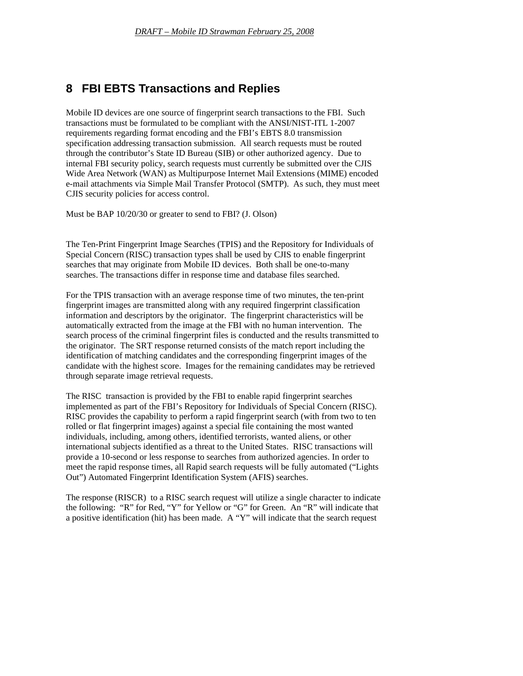## <span id="page-14-0"></span>**8 FBI EBTS Transactions and Replies**

Mobile ID devices are one source of fingerprint search transactions to the FBI. Such transactions must be formulated to be compliant with the ANSI/NIST-ITL 1-2007 requirements regarding format encoding and the FBI's EBTS 8.0 transmission specification addressing transaction submission. All search requests must be routed through the contributor's State ID Bureau (SIB) or other authorized agency. Due to internal FBI security policy, search requests must currently be submitted over the CJIS Wide Area Network (WAN) as Multipurpose Internet Mail Extensions (MIME) encoded e-mail attachments via Simple Mail Transfer Protocol (SMTP). As such, they must meet CJIS security policies for access control.

Must be BAP 10/20/30 or greater to send to FBI? (J. Olson)

The Ten-Print Fingerprint Image Searches (TPIS) and the Repository for Individuals of Special Concern (RISC) transaction types shall be used by CJIS to enable fingerprint searches that may originate from Mobile ID devices. Both shall be one-to-many searches. The transactions differ in response time and database files searched.

For the TPIS transaction with an average response time of two minutes, the ten-print fingerprint images are transmitted along with any required fingerprint classification information and descriptors by the originator. The fingerprint characteristics will be automatically extracted from the image at the FBI with no human intervention. The search process of the criminal fingerprint files is conducted and the results transmitted to the originator. The SRT response returned consists of the match report including the identification of matching candidates and the corresponding fingerprint images of the candidate with the highest score. Images for the remaining candidates may be retrieved through separate image retrieval requests.

The RISC transaction is provided by the FBI to enable rapid fingerprint searches implemented as part of the FBI's Repository for Individuals of Special Concern (RISC). RISC provides the capability to perform a rapid fingerprint search (with from two to ten rolled or flat fingerprint images) against a special file containing the most wanted individuals, including, among others, identified terrorists, wanted aliens, or other international subjects identified as a threat to the United States. RISC transactions will provide a 10-second or less response to searches from authorized agencies. In order to meet the rapid response times, all Rapid search requests will be fully automated ("Lights Out") Automated Fingerprint Identification System (AFIS) searches.

The response (RISCR) to a RISC search request will utilize a single character to indicate the following: "R" for Red, "Y" for Yellow or "G" for Green. An "R" will indicate that a positive identification (hit) has been made. A "Y" will indicate that the search request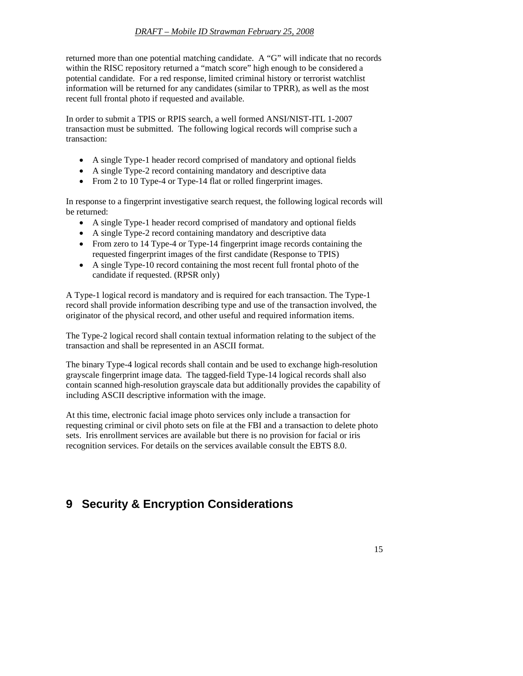<span id="page-15-0"></span>returned more than one potential matching candidate. A "G" will indicate that no records within the RISC repository returned a "match score" high enough to be considered a potential candidate. For a red response, limited criminal history or terrorist watchlist information will be returned for any candidates (similar to TPRR), as well as the most recent full frontal photo if requested and available.

In order to submit a TPIS or RPIS search, a well formed ANSI/NIST-ITL 1-2007 transaction must be submitted. The following logical records will comprise such a transaction:

- A single Type-1 header record comprised of mandatory and optional fields
- A single Type-2 record containing mandatory and descriptive data
- From 2 to 10 Type-4 or Type-14 flat or rolled fingerprint images.

In response to a fingerprint investigative search request, the following logical records will be returned:

- A single Type-1 header record comprised of mandatory and optional fields
- A single Type-2 record containing mandatory and descriptive data
- From zero to 14 Type-4 or Type-14 fingerprint image records containing the requested fingerprint images of the first candidate (Response to TPIS)
- A single Type-10 record containing the most recent full frontal photo of the candidate if requested. (RPSR only)

A Type-1 logical record is mandatory and is required for each transaction. The Type-1 record shall provide information describing type and use of the transaction involved, the originator of the physical record, and other useful and required information items.

The Type-2 logical record shall contain textual information relating to the subject of the transaction and shall be represented in an ASCII format.

The binary Type-4 logical records shall contain and be used to exchange high-resolution grayscale fingerprint image data. The tagged-field Type-14 logical records shall also contain scanned high-resolution grayscale data but additionally provides the capability of including ASCII descriptive information with the image.

At this time, electronic facial image photo services only include a transaction for requesting criminal or civil photo sets on file at the FBI and a transaction to delete photo sets. Iris enrollment services are available but there is no provision for facial or iris recognition services. For details on the services available consult the EBTS 8.0.

## **9 Security & Encryption Considerations**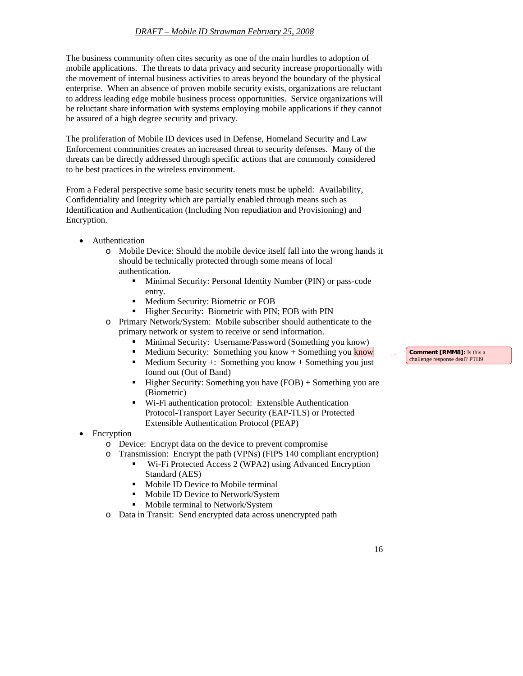The business community often cites security as one of the main hurdles to adoption of mobile applications. The threats to data privacy and security increase proportionally with the movement of internal business activities to areas beyond the boundary of the physical enterprise. When an absence of proven mobile security exists, organizations are reluctant to address leading edge mobile business process opportunities. Service organizations will be reluctant share information with systems employing mobile applications if they cannot be assured of a high degree security and privacy.

The proliferation of Mobile ID devices used in Defense, Homeland Security and Law Enforcement communities creates an increased threat to security defenses. Many of the threats can be directly addressed through specific actions that are commonly considered to be best practices in the wireless environment.

From a Federal perspective some basic security tenets must be upheld: Availability, Confidentiality and Integrity which are partially enabled through means such as Identification and Authentication (Including Non repudiation and Provisioning) and Encryption.

- **Authentication** 
	- o Mobile Device: Should the mobile device itself fall into the wrong hands it should be technically protected through some means of local authentication.
		- **Minimal Security: Personal Identity Number (PIN) or pass-code** entry.
		- **Medium Security: Biometric or FOB**
		- **Higher Security: Biometric with PIN; FOB with PIN**
	- o Primary Network/System: Mobile subscriber should authenticate to the primary network or system to receive or send information.
		- **Minimal Security:** Username/Password (Something you know)
		- Medium Security: Something you know + Something you know
		- $\blacksquare$  Medium Security +: Something you know + Something you just found out (Out of Band)
		- $\blacksquare$  Higher Security: Something you have (FOB) + Something you are (Biometric)
		- Wi-Fi authentication protocol: Extensible Authentication Protocol-Transport Layer Security (EAP-TLS) or Protected Extensible Authentication Protocol (PEAP)
- Encryption
	- o Device: Encrypt data on the device to prevent compromise
	- o Transmission: Encrypt the path (VPNs) (FIPS 140 compliant encryption)
		- Wi-Fi Protected Access 2 (WPA2) using Advanced Encryption Standard (AES)
			- Mobile ID Device to Mobile terminal
			- Mobile ID Device to Network/System
		- Mobile terminal to Network/System
	- o Data in Transit: Send encrypted data across unencrypted path

**Comment [RMM8]:** Is this a challenge response deal? PTH9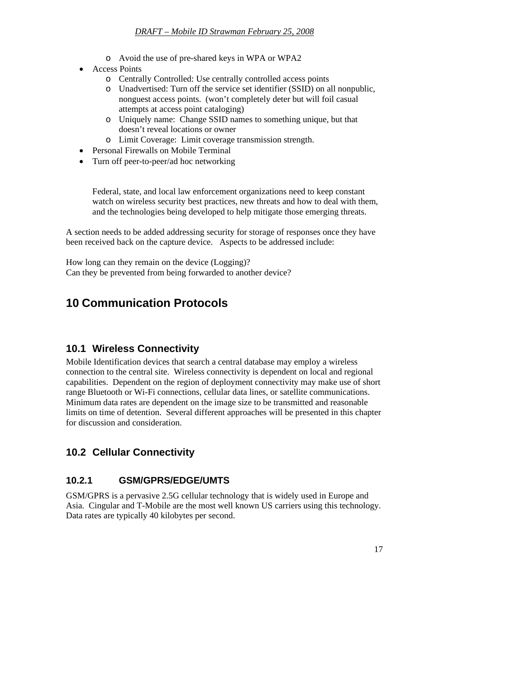- o Avoid the use of pre-shared keys in WPA or WPA2
- <span id="page-17-0"></span>• Access Points
	- o Centrally Controlled: Use centrally controlled access points
	- o Unadvertised: Turn off the service set identifier (SSID) on all nonpublic, nonguest access points. (won't completely deter but will foil casual attempts at access point cataloging)
	- o Uniquely name: Change SSID names to something unique, but that doesn't reveal locations or owner
	- o Limit Coverage: Limit coverage transmission strength.
- Personal Firewalls on Mobile Terminal
- Turn off peer-to-peer/ad hoc networking

Federal, state, and local law enforcement organizations need to keep constant watch on wireless security best practices, new threats and how to deal with them, and the technologies being developed to help mitigate those emerging threats.

A section needs to be added addressing security for storage of responses once they have been received back on the capture device. Aspects to be addressed include:

How long can they remain on the device (Logging)? Can they be prevented from being forwarded to another device?

## **10 Communication Protocols**

#### **10.1 Wireless Connectivity**

Mobile Identification devices that search a central database may employ a wireless connection to the central site. Wireless connectivity is dependent on local and regional capabilities. Dependent on the region of deployment connectivity may make use of short range Bluetooth or Wi-Fi connections, cellular data lines, or satellite communications. Minimum data rates are dependent on the image size to be transmitted and reasonable limits on time of detention. Several different approaches will be presented in this chapter for discussion and consideration.

#### **10.2 Cellular Connectivity**

#### **10.2.1 GSM/GPRS/EDGE/UMTS**

GSM/GPRS is a pervasive 2.5G cellular technology that is widely used in Europe and Asia. Cingular and T-Mobile are the most well known US carriers using this technology. Data rates are typically 40 kilobytes per second.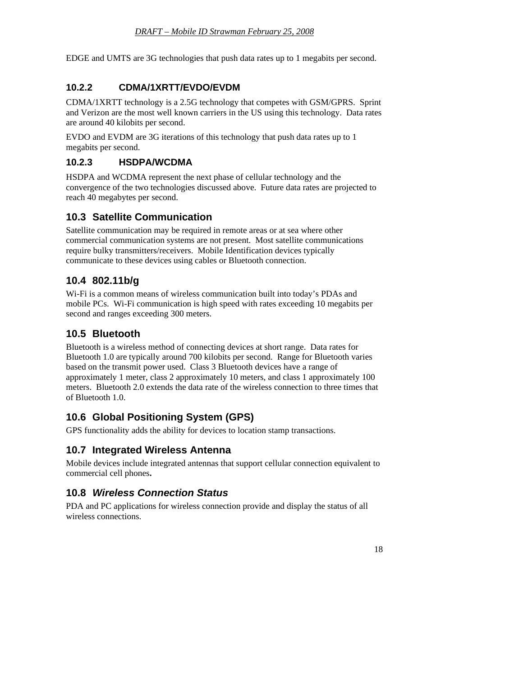<span id="page-18-0"></span>EDGE and UMTS are 3G technologies that push data rates up to 1 megabits per second.

#### **10.2.2 CDMA/1XRTT/EVDO/EVDM**

CDMA/1XRTT technology is a 2.5G technology that competes with GSM/GPRS. Sprint and Verizon are the most well known carriers in the US using this technology. Data rates are around 40 kilobits per second.

EVDO and EVDM are 3G iterations of this technology that push data rates up to 1 megabits per second.

#### **10.2.3 HSDPA/WCDMA**

HSDPA and WCDMA represent the next phase of cellular technology and the convergence of the two technologies discussed above. Future data rates are projected to reach 40 megabytes per second.

#### **10.3 Satellite Communication**

Satellite communication may be required in remote areas or at sea where other commercial communication systems are not present. Most satellite communications require bulky transmitters/receivers. Mobile Identification devices typically communicate to these devices using cables or Bluetooth connection.

#### **10.4 802.11b/g**

Wi-Fi is a common means of wireless communication built into today's PDAs and mobile PCs. Wi-Fi communication is high speed with rates exceeding 10 megabits per second and ranges exceeding 300 meters.

### **10.5 Bluetooth**

Bluetooth is a wireless method of connecting devices at short range. Data rates for Bluetooth 1.0 are typically around 700 kilobits per second. Range for Bluetooth varies based on the transmit power used. Class 3 Bluetooth devices have a range of approximately 1 meter, class 2 approximately 10 meters, and class 1 approximately 100 meters. Bluetooth 2.0 extends the data rate of the wireless connection to three times that of Bluetooth 1.0.

## **10.6 Global Positioning System (GPS)**

GPS functionality adds the ability for devices to location stamp transactions.

#### **10.7 Integrated Wireless Antenna**

Mobile devices include integrated antennas that support cellular connection equivalent to commercial cell phones**.**

#### **10.8** *Wireless Connection Status*

PDA and PC applications for wireless connection provide and display the status of all wireless connections.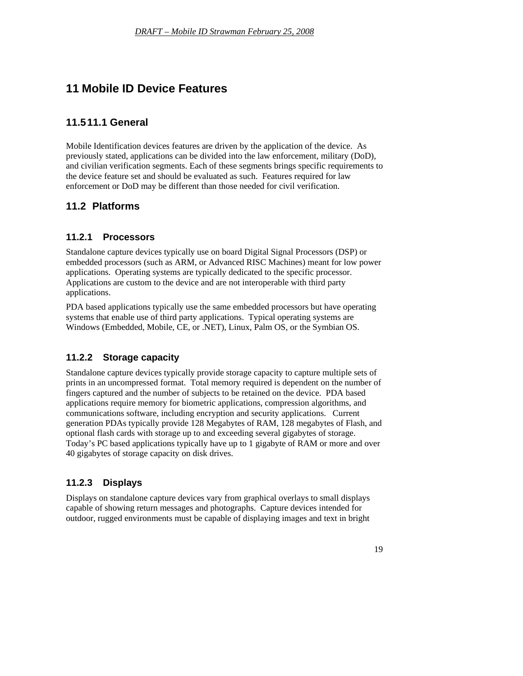## <span id="page-19-0"></span>**11 Mobile ID Device Features**

#### **11.5 11.1 General**

Mobile Identification devices features are driven by the application of the device. As previously stated, applications can be divided into the law enforcement, military (DoD), and civilian verification segments. Each of these segments brings specific requirements to the device feature set and should be evaluated as such. Features required for law enforcement or DoD may be different than those needed for civil verification.

#### **11.2 Platforms**

#### **11.2.1 Processors**

Standalone capture devices typically use on board Digital Signal Processors (DSP) or embedded processors (such as ARM, or Advanced RISC Machines) meant for low power applications. Operating systems are typically dedicated to the specific processor. Applications are custom to the device and are not interoperable with third party applications.

PDA based applications typically use the same embedded processors but have operating systems that enable use of third party applications. Typical operating systems are Windows (Embedded, Mobile, CE, or .NET), Linux, Palm OS, or the Symbian OS.

#### **11.2.2 Storage capacity**

Standalone capture devices typically provide storage capacity to capture multiple sets of prints in an uncompressed format. Total memory required is dependent on the number of fingers captured and the number of subjects to be retained on the device. PDA based applications require memory for biometric applications, compression algorithms, and communications software, including encryption and security applications. Current generation PDAs typically provide 128 Megabytes of RAM, 128 megabytes of Flash, and optional flash cards with storage up to and exceeding several gigabytes of storage. Today's PC based applications typically have up to 1 gigabyte of RAM or more and over 40 gigabytes of storage capacity on disk drives.

#### **11.2.3 Displays**

Displays on standalone capture devices vary from graphical overlays to small displays capable of showing return messages and photographs. Capture devices intended for outdoor, rugged environments must be capable of displaying images and text in bright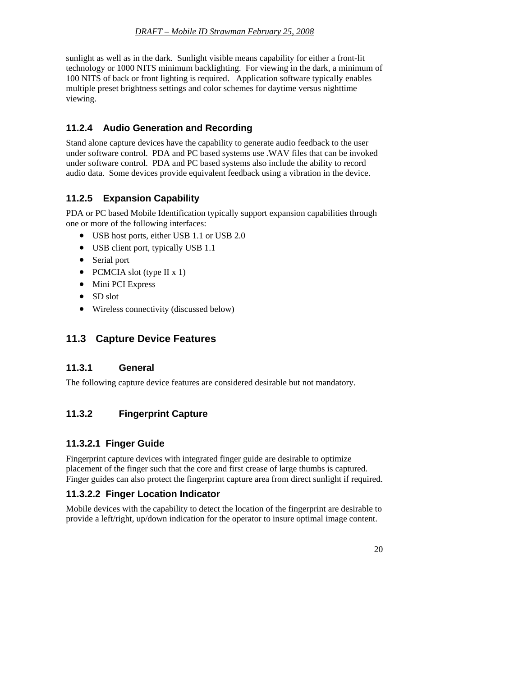<span id="page-20-0"></span>sunlight as well as in the dark. Sunlight visible means capability for either a front-lit technology or 1000 NITS minimum backlighting. For viewing in the dark, a minimum of 100 NITS of back or front lighting is required. Application software typically enables multiple preset brightness settings and color schemes for daytime versus nighttime viewing.

#### **11.2.4 Audio Generation and Recording**

Stand alone capture devices have the capability to generate audio feedback to the user under software control. PDA and PC based systems use .WAV files that can be invoked under software control. PDA and PC based systems also include the ability to record audio data. Some devices provide equivalent feedback using a vibration in the device.

#### **11.2.5 Expansion Capability**

PDA or PC based Mobile Identification typically support expansion capabilities through one or more of the following interfaces:

- USB host ports, either USB 1.1 or USB 2.0
- USB client port, typically USB 1.1
- Serial port
- PCMCIA slot (type II x 1)
- Mini PCI Express
- SD slot
- Wireless connectivity (discussed below)

#### **11.3 Capture Device Features**

#### **11.3.1 General**

The following capture device features are considered desirable but not mandatory.

#### **11.3.2 Fingerprint Capture**

#### **11.3.2.1 Finger Guide**

Fingerprint capture devices with integrated finger guide are desirable to optimize placement of the finger such that the core and first crease of large thumbs is captured. Finger guides can also protect the fingerprint capture area from direct sunlight if required.

#### **11.3.2.2 Finger Location Indicator**

Mobile devices with the capability to detect the location of the fingerprint are desirable to provide a left/right, up/down indication for the operator to insure optimal image content.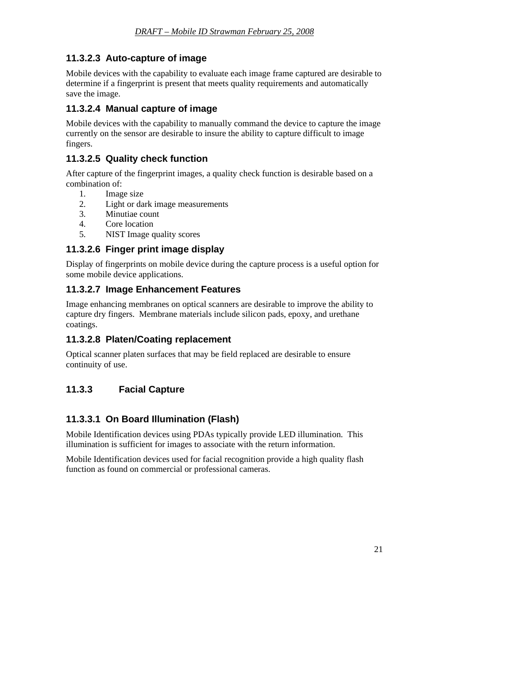#### <span id="page-21-0"></span>**11.3.2.3 Auto-capture of image**

Mobile devices with the capability to evaluate each image frame captured are desirable to determine if a fingerprint is present that meets quality requirements and automatically save the image.

#### **11.3.2.4 Manual capture of image**

Mobile devices with the capability to manually command the device to capture the image currently on the sensor are desirable to insure the ability to capture difficult to image fingers.

#### **11.3.2.5 Quality check function**

After capture of the fingerprint images, a quality check function is desirable based on a combination of:

- 1. Image size
- 2. Light or dark image measurements
- 3. Minutiae count
- 4. Core location
- 5. NIST Image quality scores

#### **11.3.2.6 Finger print image display**

Display of fingerprints on mobile device during the capture process is a useful option for some mobile device applications.

#### **11.3.2.7 Image Enhancement Features**

Image enhancing membranes on optical scanners are desirable to improve the ability to capture dry fingers. Membrane materials include silicon pads, epoxy, and urethane coatings.

#### **11.3.2.8 Platen/Coating replacement**

Optical scanner platen surfaces that may be field replaced are desirable to ensure continuity of use.

#### **11.3.3 Facial Capture**

#### **11.3.3.1 On Board Illumination (Flash)**

Mobile Identification devices using PDAs typically provide LED illumination. This illumination is sufficient for images to associate with the return information.

Mobile Identification devices used for facial recognition provide a high quality flash function as found on commercial or professional cameras.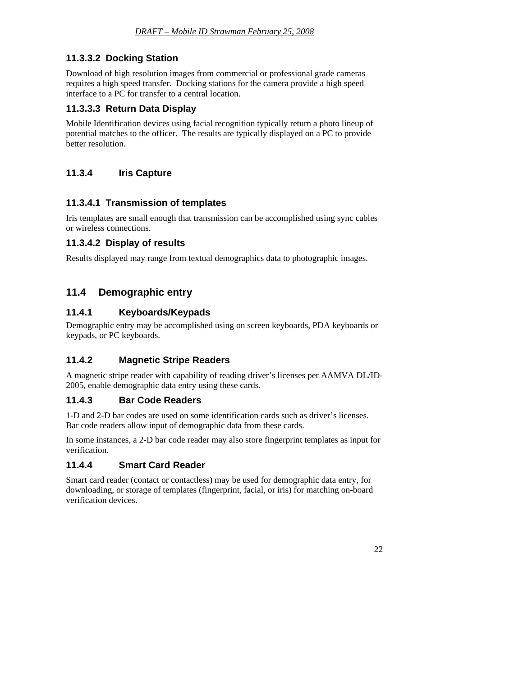#### <span id="page-22-0"></span>**11.3.3.2 Docking Station**

Download of high resolution images from commercial or professional grade cameras requires a high speed transfer. Docking stations for the camera provide a high speed interface to a PC for transfer to a central location.

#### **11.3.3.3 Return Data Display**

Mobile Identification devices using facial recognition typically return a photo lineup of potential matches to the officer. The results are typically displayed on a PC to provide better resolution.

### **11.3.4 Iris Capture**

#### **11.3.4.1 Transmission of templates**

Iris templates are small enough that transmission can be accomplished using sync cables or wireless connections.

#### **11.3.4.2 Display of results**

Results displayed may range from textual demographics data to photographic images.

## **11.4 Demographic entry**

#### **11.4.1 Keyboards/Keypads**

Demographic entry may be accomplished using on screen keyboards, PDA keyboards or keypads, or PC keyboards.

#### **11.4.2 Magnetic Stripe Readers**

A magnetic stripe reader with capability of reading driver's licenses per AAMVA DL/ID-2005, enable demographic data entry using these cards.

#### **11.4.3 Bar Code Readers**

1-D and 2-D bar codes are used on some identification cards such as driver's licenses. Bar code readers allow input of demographic data from these cards.

In some instances, a 2-D bar code reader may also store fingerprint templates as input for verification.

#### **11.4.4 Smart Card Reader**

Smart card reader (contact or contactless) may be used for demographic data entry, for downloading, or storage of templates (fingerprint, facial, or iris) for matching on-board verification devices.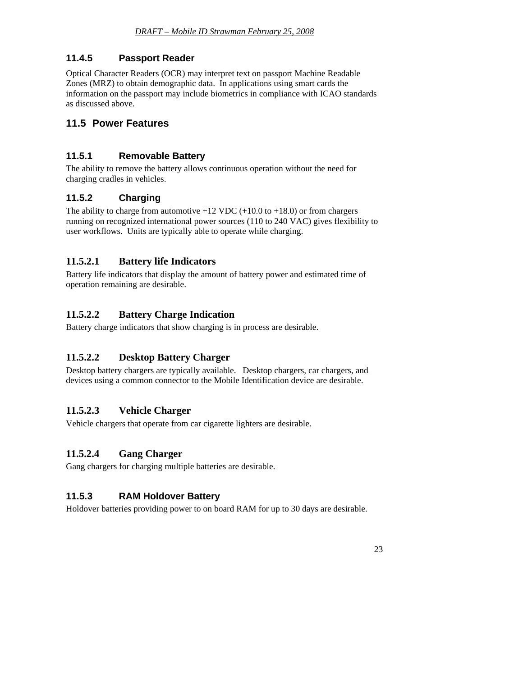#### <span id="page-23-0"></span>**11.4.5 Passport Reader**

Optical Character Readers (OCR) may interpret text on passport Machine Readable Zones (MRZ) to obtain demographic data. In applications using smart cards the information on the passport may include biometrics in compliance with ICAO standards as discussed above.

#### **11.5 Power Features**

#### **11.5.1 Removable Battery**

The ability to remove the battery allows continuous operation without the need for charging cradles in vehicles.

#### **11.5.2 Charging**

The ability to charge from automotive  $+12$  VDC ( $+10.0$  to  $+18.0$ ) or from chargers running on recognized international power sources (110 to 240 VAC) gives flexibility to user workflows. Units are typically able to operate while charging.

#### **11.5.2.1 Battery life Indicators**

Battery life indicators that display the amount of battery power and estimated time of operation remaining are desirable.

#### **11.5.2.2 Battery Charge Indication**

Battery charge indicators that show charging is in process are desirable.

#### **11.5.2.2 Desktop Battery Charger**

Desktop battery chargers are typically available. Desktop chargers, car chargers, and devices using a common connector to the Mobile Identification device are desirable.

#### **11.5.2.3 Vehicle Charger**

Vehicle chargers that operate from car cigarette lighters are desirable.

#### **11.5.2.4 Gang Charger**

Gang chargers for charging multiple batteries are desirable.

#### **11.5.3 RAM Holdover Battery**

Holdover batteries providing power to on board RAM for up to 30 days are desirable.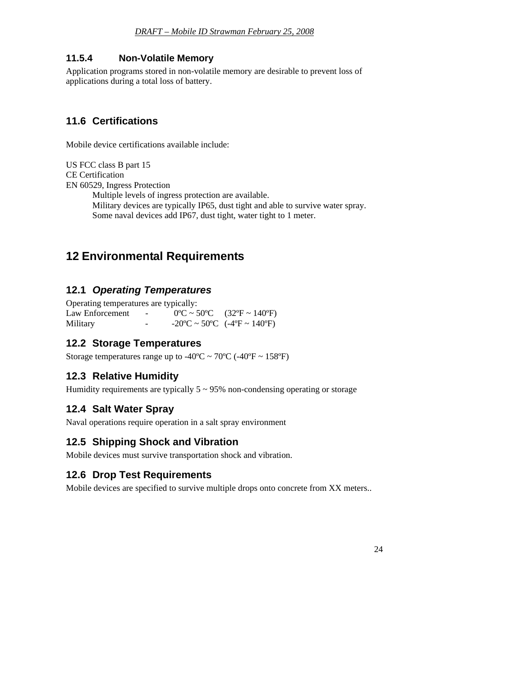#### <span id="page-24-0"></span>**11.5.4 Non-Volatile Memory**

Application programs stored in non-volatile memory are desirable to prevent loss of applications during a total loss of battery.

#### **11.6 Certifications**

Mobile device certifications available include:

US FCC class B part 15 CE Certification EN 60529, Ingress Protection Multiple levels of ingress protection are available. Military devices are typically IP65, dust tight and able to survive water spray. Some naval devices add IP67, dust tight, water tight to 1 meter.

## **12 Environmental Requirements**

#### **12.1** *Operating Temperatures*

| Operating temperatures are typically: |                          |                                                                                                 |
|---------------------------------------|--------------------------|-------------------------------------------------------------------------------------------------|
| Law Enforcement                       | <b>Contract Contract</b> | $0^{\circ}$ C ~ 50°C (32°F ~ 140°F)                                                             |
| Military                              | $\overline{\phantom{a}}$ | $-20^{\circ}\text{C} \sim 50^{\circ}\text{C}$ ( $-4^{\circ}\text{F} \sim 140^{\circ}\text{F}$ ) |

#### **12.2 Storage Temperatures**

Storage temperatures range up to -40 $\degree$ C ~ 70 $\degree$ C (-40 $\degree$ F ~ 158 $\degree$ F)

#### **12.3 Relative Humidity**

Humidity requirements are typically  $5 \sim 95\%$  non-condensing operating or storage

#### **12.4 Salt Water Spray**

Naval operations require operation in a salt spray environment

#### **12.5 Shipping Shock and Vibration**

Mobile devices must survive transportation shock and vibration.

#### **12.6 Drop Test Requirements**

Mobile devices are specified to survive multiple drops onto concrete from XX meters..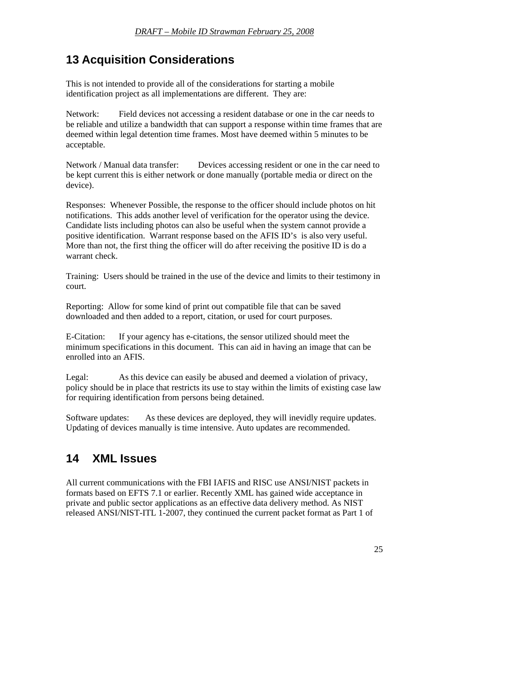## <span id="page-25-0"></span>**13 Acquisition Considerations**

This is not intended to provide all of the considerations for starting a mobile identification project as all implementations are different. They are:

Network: Field devices not accessing a resident database or one in the car needs to be reliable and utilize a bandwidth that can support a response within time frames that are deemed within legal detention time frames. Most have deemed within 5 minutes to be acceptable.

Network / Manual data transfer: Devices accessing resident or one in the car need to be kept current this is either network or done manually (portable media or direct on the device).

Responses: Whenever Possible, the response to the officer should include photos on hit notifications. This adds another level of verification for the operator using the device. Candidate lists including photos can also be useful when the system cannot provide a positive identification. Warrant response based on the AFIS ID's is also very useful. More than not, the first thing the officer will do after receiving the positive ID is do a warrant check.

Training: Users should be trained in the use of the device and limits to their testimony in court.

Reporting: Allow for some kind of print out compatible file that can be saved downloaded and then added to a report, citation, or used for court purposes.

E-Citation: If your agency has e-citations, the sensor utilized should meet the minimum specifications in this document. This can aid in having an image that can be enrolled into an AFIS.

Legal: As this device can easily be abused and deemed a violation of privacy, policy should be in place that restricts its use to stay within the limits of existing case law for requiring identification from persons being detained.

Software updates: As these devices are deployed, they will inevidly require updates. Updating of devices manually is time intensive. Auto updates are recommended.

## **14 XML Issues**

All current communications with the FBI IAFIS and RISC use ANSI/NIST packets in formats based on EFTS 7.1 or earlier. Recently XML has gained wide acceptance in private and public sector applications as an effective data delivery method. As NIST released ANSI/NIST-ITL 1-2007, they continued the current packet format as Part 1 of